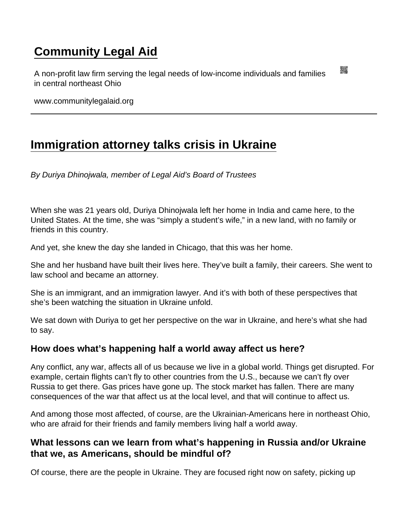## [Community Legal Aid](https://www.communitylegalaid.org/)

A non-profit law firm serving the legal needs of low-income individuals and families in central northeast Ohio

www.communitylegalaid.org

## [Immigration attorney talks crisis in Ukraine](https://www.communitylegalaid.org/node/1713/immigration-attorney-talks-crisis-ukraine)

By Duriya Dhinojwala, member of Legal Aid's Board of Trustees

When she was 21 years old, Duriya Dhinojwala left her home in India and came here, to the United States. At the time, she was "simply a student's wife," in a new land, with no family or friends in this country.

And yet, she knew the day she landed in Chicago, that this was her home.

She and her husband have built their lives here. They've built a family, their careers. She went to law school and became an attorney.

She is an immigrant, and an immigration lawyer. And it's with both of these perspectives that she's been watching the situation in Ukraine unfold.

We sat down with Duriya to get her perspective on the war in Ukraine, and here's what she had to say.

How does what's happening half a world away affect us here?

Any conflict, any war, affects all of us because we live in a global world. Things get disrupted. For example, certain flights can't fly to other countries from the U.S., because we can't fly over Russia to get there. Gas prices have gone up. The stock market has fallen. There are many consequences of the war that affect us at the local level, and that will continue to affect us.

And among those most affected, of course, are the Ukrainian-Americans here in northeast Ohio, who are afraid for their friends and family members living half a world away.

What lessons can we learn from what's happening in Russia and/or Ukraine that we, as Americans, should be mindful of?

Of course, there are the people in Ukraine. They are focused right now on safety, picking up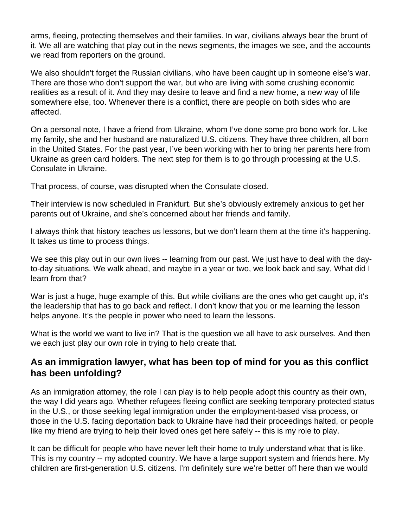arms, fleeing, protecting themselves and their families. In war, civilians always bear the brunt of it. We all are watching that play out in the news segments, the images we see, and the accounts we read from reporters on the ground.

We also shouldn't forget the Russian civilians, who have been caught up in someone else's war. There are those who don't support the war, but who are living with some crushing economic realities as a result of it. And they may desire to leave and find a new home, a new way of life somewhere else, too. Whenever there is a conflict, there are people on both sides who are affected.

On a personal note, I have a friend from Ukraine, whom I've done some pro bono work for. Like my family, she and her husband are naturalized U.S. citizens. They have three children, all born in the United States. For the past year, I've been working with her to bring her parents here from Ukraine as green card holders. The next step for them is to go through processing at the U.S. Consulate in Ukraine.

That process, of course, was disrupted when the Consulate closed.

Their interview is now scheduled in Frankfurt. But she's obviously extremely anxious to get her parents out of Ukraine, and she's concerned about her friends and family.

I always think that history teaches us lessons, but we don't learn them at the time it's happening. It takes us time to process things.

We see this play out in our own lives -- learning from our past. We just have to deal with the dayto-day situations. We walk ahead, and maybe in a year or two, we look back and say, What did I learn from that?

War is just a huge, huge example of this. But while civilians are the ones who get caught up, it's the leadership that has to go back and reflect. I don't know that you or me learning the lesson helps anyone. It's the people in power who need to learn the lessons.

What is the world we want to live in? That is the question we all have to ask ourselves. And then we each just play our own role in trying to help create that.

## **As an immigration lawyer, what has been top of mind for you as this conflict has been unfolding?**

As an immigration attorney, the role I can play is to help people adopt this country as their own, the way I did years ago. Whether refugees fleeing conflict are seeking temporary protected status in the U.S., or those seeking legal immigration under the employment-based visa process, or those in the U.S. facing deportation back to Ukraine have had their proceedings halted, or people like my friend are trying to help their loved ones get here safely -- this is my role to play.

It can be difficult for people who have never left their home to truly understand what that is like. This is my country -- my adopted country. We have a large support system and friends here. My children are first-generation U.S. citizens. I'm definitely sure we're better off here than we would